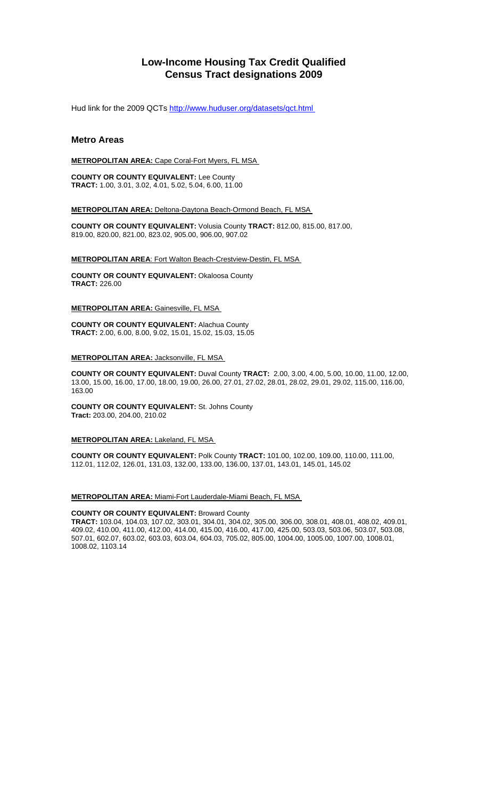# **Low-Income Housing Tax Credit Qualified Census Tract designations 2009**

Hud link for the 2009 QCTs http://www.huduser.org/datasets/qct.html

# **Metro Areas**

**METROPOLITAN AREA:** Cape Coral-Fort Myers, FL MSA

**COUNTY OR COUNTY EQUIVALENT:** Lee County **TRACT:** 1.00, 3.01, 3.02, 4.01, 5.02, 5.04, 6.00, 11.00

**METROPOLITAN AREA:** Deltona-Daytona Beach-Ormond Beach, FL MSA

**COUNTY OR COUNTY EQUIVALENT:** Volusia County **TRACT:** 812.00, 815.00, 817.00, 819.00, 820.00, 821.00, 823.02, 905.00, 906.00, 907.02

**METROPOLITAN AREA**: Fort Walton Beach-Crestview-Destin, FL MSA

**COUNTY OR COUNTY EQUIVALENT:** Okaloosa County **TRACT:** 226.00

**METROPOLITAN AREA:** Gainesville, FL MSA

**COUNTY OR COUNTY EQUIVALENT:** Alachua County **TRACT:** 2.00, 6.00, 8.00, 9.02, 15.01, 15.02, 15.03, 15.05

### **METROPOLITAN AREA:** Jacksonville, FL MSA

**COUNTY OR COUNTY EQUIVALENT:** Duval County **TRACT:** 2.00, 3.00, 4.00, 5.00, 10.00, 11.00, 12.00, 13.00, 15.00, 16.00, 17.00, 18.00, 19.00, 26.00, 27.01, 27.02, 28.01, 28.02, 29.01, 29.02, 115.00, 116.00, 163.00

**COUNTY OR COUNTY EQUIVALENT:** St. Johns County **Tract:** 203.00, 204.00, 210.02

## **METROPOLITAN AREA: Lakeland, FL MSA**

**COUNTY OR COUNTY EQUIVALENT:** Polk County **TRACT:** 101.00, 102.00, 109.00, 110.00, 111.00, 112.01, 112.02, 126.01, 131.03, 132.00, 133.00, 136.00, 137.01, 143.01, 145.01, 145.02

### **METROPOLITAN AREA:** Miami-Fort Lauderdale-Miami Beach, FL MSA

### **COUNTY OR COUNTY EQUIVALENT:** Broward County

**TRACT:** 103.04, 104.03, 107.02, 303.01, 304.01, 304.02, 305.00, 306.00, 308.01, 408.01, 408.02, 409.01, 409.02, 410.00, 411.00, 412.00, 414.00, 415.00, 416.00, 417.00, 425.00, 503.03, 503.06, 503.07, 503.08, 507.01, 602.07, 603.02, 603.03, 603.04, 604.03, 705.02, 805.00, 1004.00, 1005.00, 1007.00, 1008.01, 1008.02, 1103.14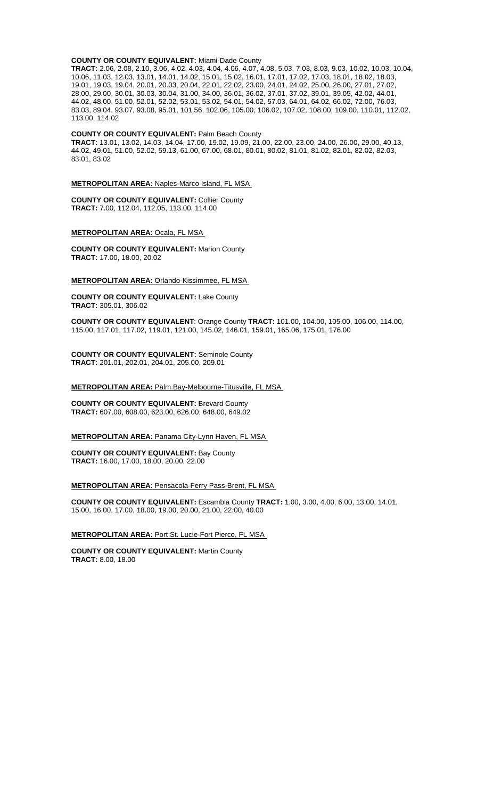#### **COUNTY OR COUNTY EQUIVALENT:** Miami-Dade County

**TRACT:** 2.06, 2.08, 2.10, 3.06, 4.02, 4.03, 4.04, 4.06, 4.07, 4.08, 5.03, 7.03, 8.03, 9.03, 10.02, 10.03, 10.04, 10.06, 11.03, 12.03, 13.01, 14.01, 14.02, 15.01, 15.02, 16.01, 17.01, 17.02, 17.03, 18.01, 18.02, 18.03, 19.01, 19.03, 19.04, 20.01, 20.03, 20.04, 22.01, 22.02, 23.00, 24.01, 24.02, 25.00, 26.00, 27.01, 27.02, 28.00, 29.00, 30.01, 30.03, 30.04, 31.00, 34.00, 36.01, 36.02, 37.01, 37.02, 39.01, 39.05, 42.02, 44.01, 44.02, 48.00, 51.00, 52.01, 52.02, 53.01, 53.02, 54.01, 54.02, 57.03, 64.01, 64.02, 66.02, 72.00, 76.03, 83.03, 89.04, 93.07, 93.08, 95.01, 101.56, 102.06, 105.00, 106.02, 107.02, 108.00, 109.00, 110.01, 112.02, 113.00, 114.02

#### **COUNTY OR COUNTY EQUIVALENT:** Palm Beach County

**TRACT:** 13.01, 13.02, 14.03, 14.04, 17.00, 19.02, 19.09, 21.00, 22.00, 23.00, 24.00, 26.00, 29.00, 40.13, 44.02, 49.01, 51.00, 52.02, 59.13, 61.00, 67.00, 68.01, 80.01, 80.02, 81.01, 81.02, 82.01, 82.02, 82.03, 83.01, 83.02

### **METROPOLITAN AREA:** Naples-Marco Island, FL MSA

**COUNTY OR COUNTY EQUIVALENT:** Collier County **TRACT:** 7.00, 112.04, 112.05, 113.00, 114.00

### **METROPOLITAN AREA:** Ocala, FL MSA

**COUNTY OR COUNTY EQUIVALENT:** Marion County **TRACT:** 17.00, 18.00, 20.02

### **METROPOLITAN AREA:** Orlando-Kissimmee, FL MSA

**COUNTY OR COUNTY EQUIVALENT:** Lake County **TRACT:** 305.01, 306.02

**COUNTY OR COUNTY EQUIVALENT**: Orange County **TRACT:** 101.00, 104.00, 105.00, 106.00, 114.00, 115.00, 117.01, 117.02, 119.01, 121.00, 145.02, 146.01, 159.01, 165.06, 175.01, 176.00

**COUNTY OR COUNTY EQUIVALENT:** Seminole County **TRACT:** 201.01, 202.01, 204.01, 205.00, 209.01

#### **METROPOLITAN AREA:** Palm Bay-Melbourne-Titusville, FL MSA

**COUNTY OR COUNTY EQUIVALENT:** Brevard County **TRACT:** 607.00, 608.00, 623.00, 626.00, 648.00, 649.02

#### **METROPOLITAN AREA:** Panama City-Lynn Haven, FL MSA

**COUNTY OR COUNTY EQUIVALENT:** Bay County **TRACT:** 16.00, 17.00, 18.00, 20.00, 22.00

**METROPOLITAN AREA:** Pensacola-Ferry Pass-Brent, FL MSA

**COUNTY OR COUNTY EQUIVALENT:** Escambia County **TRACT:** 1.00, 3.00, 4.00, 6.00, 13.00, 14.01, 15.00, 16.00, 17.00, 18.00, 19.00, 20.00, 21.00, 22.00, 40.00

**METROPOLITAN AREA:** Port St. Lucie-Fort Pierce, FL MSA

**COUNTY OR COUNTY EQUIVALENT:** Martin County **TRACT:** 8.00, 18.00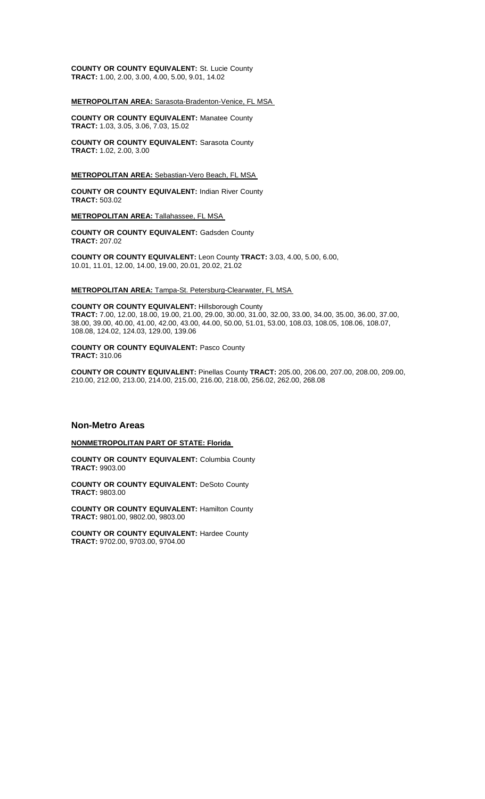**COUNTY OR COUNTY EQUIVALENT:** St. Lucie County **TRACT:** 1.00, 2.00, 3.00, 4.00, 5.00, 9.01, 14.02

# **METROPOLITAN AREA:** Sarasota-Bradenton-Venice, FL MSA

**COUNTY OR COUNTY EQUIVALENT:** Manatee County **TRACT:** 1.03, 3.05, 3.06, 7.03, 15.02

**COUNTY OR COUNTY EQUIVALENT:** Sarasota County **TRACT:** 1.02, 2.00, 3.00

### **METROPOLITAN AREA:** Sebastian-Vero Beach, FL MSA

**COUNTY OR COUNTY EQUIVALENT:** Indian River County **TRACT:** 503.02

**METROPOLITAN AREA:** Tallahassee, FL MSA

**COUNTY OR COUNTY EQUIVALENT:** Gadsden County **TRACT:** 207.02

**COUNTY OR COUNTY EQUIVALENT:** Leon County **TRACT:** 3.03, 4.00, 5.00, 6.00, 10.01, 11.01, 12.00, 14.00, 19.00, 20.01, 20.02, 21.02

### **METROPOLITAN AREA:** Tampa-St. Petersburg-Clearwater, FL MSA

**COUNTY OR COUNTY EQUIVALENT:** Hillsborough County **TRACT:** 7.00, 12.00, 18.00, 19.00, 21.00, 29.00, 30.00, 31.00, 32.00, 33.00, 34.00, 35.00, 36.00, 37.00, 38.00, 39.00, 40.00, 41.00, 42.00, 43.00, 44.00, 50.00, 51.01, 53.00, 108.03, 108.05, 108.06, 108.07, 108.08, 124.02, 124.03, 129.00, 139.06

#### **COUNTY OR COUNTY EQUIVALENT:** Pasco County **TRACT:** 310.06

**COUNTY OR COUNTY EQUIVALENT:** Pinellas County **TRACT:** 205.00, 206.00, 207.00, 208.00, 209.00, 210.00, 212.00, 213.00, 214.00, 215.00, 216.00, 218.00, 256.02, 262.00, 268.08

### **Non-Metro Areas**

### **NONMETROPOLITAN PART OF STATE: Florida**

**COUNTY OR COUNTY EQUIVALENT:** Columbia County **TRACT:** 9903.00

**COUNTY OR COUNTY EQUIVALENT:** DeSoto County **TRACT:** 9803.00

**COUNTY OR COUNTY EQUIVALENT:** Hamilton County **TRACT:** 9801.00, 9802.00, 9803.00

**COUNTY OR COUNTY EQUIVALENT:** Hardee County **TRACT:** 9702.00, 9703.00, 9704.00